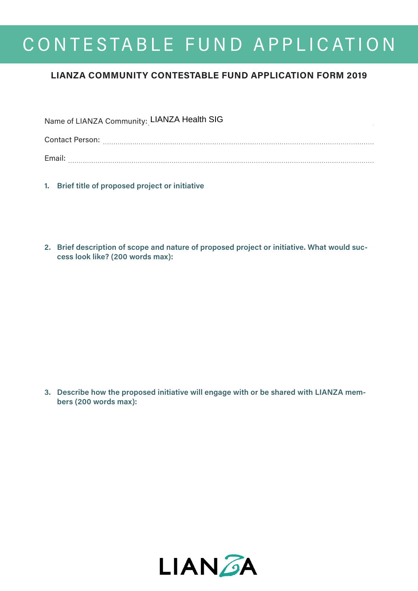## CONTESTABLE FUND APPLICATION

## **LIANZA COMMUNITY CONTESTABLE FUND APPLICATION FORM 2019**

| Name of LIANZA Community: LIANZA Health SIG |  |
|---------------------------------------------|--|
| Contact Person:                             |  |
| Email:                                      |  |

- **1. Brief title of proposed project or initiative**
- **2. Brief description of scope and nature of proposed project or initiative. What would success look like? (200 words max):**

**3. Describe how the proposed initiative will engage with or be shared with LIANZA members (200 words max):**

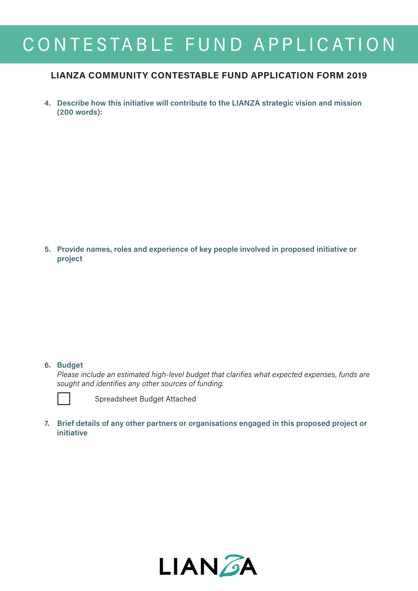# CONTESTABLE FUND APPLICATION

### **LIANZA COMMUNITY CONTESTABLE FUND APPLICATION FORM 2019**

**4. Describe how this initiative will contribute to the LIANZA strategic vision and mission (200 words):**

**5. Provide names, roles and experience of key people involved in proposed initiative or project**

#### **6. Budget**

*Please include an estimated high-level budget that clarifies what expected expenses, funds are sought and identifies any other sources of funding.*



Spreadsheet Budget Attached

**7. Brief details of any other partners or organisations engaged in this proposed project or initiative**